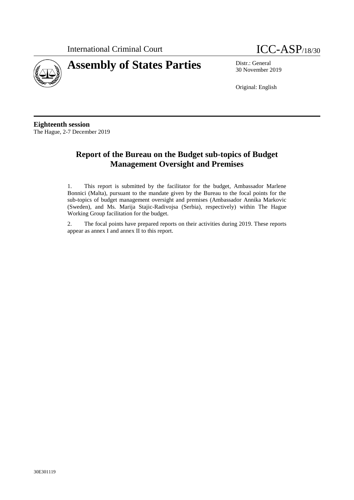International Criminal Court **ICC-ASP**/18/30





30 November 2019

Original: English

**Eighteenth session** The Hague, 2-7 December 2019

# **Report of the Bureau on the Budget sub-topics of Budget Management Oversight and Premises**

1. This report is submitted by the facilitator for the budget, Ambassador Marlene Bonnici (Malta), pursuant to the mandate given by the Bureau to the focal points for the sub-topics of budget management oversight and premises (Ambassador Annika Markovic (Sweden), and Ms. Marija Stajic-Radivojsa (Serbia), respectively) within The Hague Working Group facilitation for the budget.

2. The focal points have prepared reports on their activities during 2019. These reports appear as annex I and annex II to this report.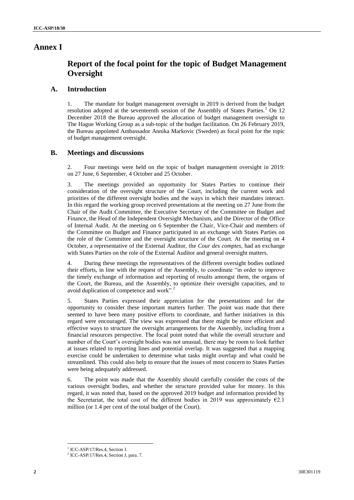# **Annex I**

# **Report of the focal point for the topic of Budget Management Oversight**

### **A. Introduction**

1. The mandate for budget management oversight in 2019 is derived from the budget resolution adopted at the seventeenth session of the Assembly of States Parties.<sup>1</sup> On 12 December 2018 the Bureau approved the allocation of budget management oversight to The Hague Working Group as a sub-topic of the budget facilitation. On 26 February 2019, the Bureau appointed Ambassador Annika Markovic (Sweden) as focal point for the topic of budget management oversight.

## **B. Meetings and discussions**

2. Four meetings were held on the topic of budget management oversight in 2019: on 27 June, 6 September, 4 October and 25 October.

3. The meetings provided an opportunity for States Parties to continue their consideration of the oversight structure of the Court, including the current work and priorities of the different oversight bodies and the ways in which their mandates interact. In this regard the working group received presentations at the meeting on 27 June from the Chair of the Audit Committee, the Executive Secretary of the Committee on Budget and Finance, the Head of the Independent Oversight Mechanism, and the Director of the Office of Internal Audit. At the meeting on 6 September the Chair, Vice-Chair and members of the Committee on Budget and Finance participated in an exchange with States Parties on the role of the Committee and the oversight structure of the Court. At the meeting on 4 October, a representative of the External Auditor, the *Cour des comptes*, had an exchange with States Parties on the role of the External Auditor and general oversight matters.

4. During these meetings the representatives of the different oversight bodies outlined their efforts, in line with the request of the Assembly, to coordinate "in order to improve the timely exchange of information and reporting of results amongst them, the organs of the Court, the Bureau, and the Assembly, to optimize their oversight capacities, and to avoid duplication of competence and work".<sup>2</sup>

5. States Parties expressed their appreciation for the presentations and for the opportunity to consider these important matters further. The point was made that there seemed to have been many positive efforts to coordinate, and further initiatives in this regard were encouraged. The view was expressed that there might be more efficient and effective ways to structure the oversight arrangements for the Assembly, including from a financial resources perspective. The focal point noted that while the overall structure and number of the Court's oversight bodies was not unusual, there may be room to look further at issues related to reporting lines and potential overlap. It was suggested that a mapping exercise could be undertaken to determine what tasks might overlap and what could be streamlined. This could also help to ensure that the issues of most concern to States Parties were being adequately addressed.

6. The point was made that the Assembly should carefully consider the costs of the various oversight bodies, and whether the structure provided value for money. In this regard, it was noted that, based on the approved 2019 budget and information provided by the Secretariat, the total cost of the different bodies in 2019 was approximately  $E2.1$ million (or 1.4 per cent of the total budget of the Court).

<sup>&</sup>lt;sup>1</sup> ICC-ASP/17/Res.4, Section J.

<sup>&</sup>lt;sup>2</sup> ICC-ASP/17/Res.4, Section J, para. 7.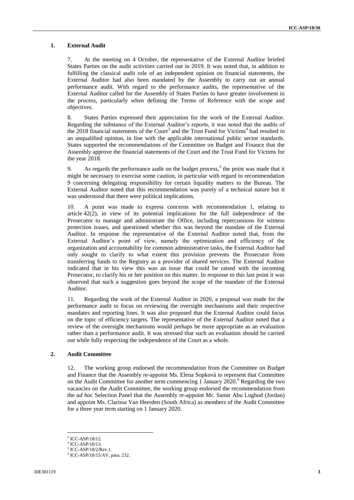### **1. External Audit**

7. At the meeting on 4 October, the representative of the External Auditor briefed States Parties on the audit activities carried out in 2019. It was noted that, in addition to fulfilling the classical audit role of an independent opinion on financial statements, the External Auditor had also been mandated by the Assembly to carry out an annual performance audit. With regard to the performance audits, the representative of the External Auditor called for the Assembly of States Parties to have greater involvement in the process, particularly when defining the Terms of Reference with the scope and objectives.

8. States Parties expressed their appreciation for the work of the External Auditor. Regarding the substance of the External Auditor's reports, it was noted that the audits of the 2018 financial statements of the Court<sup>3</sup> and the Trust Fund for Victims<sup>4</sup> had resulted in an unqualified opinion, in line with the applicable international public sector standards. States supported the recommendations of the Committee on Budget and Finance that the Assembly approve the financial statements of the Court and the Trust Fund for Victims for the year 2018.

9. As regards the performance audit on the budget process,<sup>5</sup> the point was made that it might be necessary to exercise some caution, in particular with regard to recommendation 9 concerning delegating responsibility for certain liquidity matters to the Bureau. The External Auditor noted that this recommendation was purely of a technical nature but it was understood that there were political implications.

10. A point was made to express concerns with recommendation 1, relating to article 42(2), in view of its potential implications for the full independence of the Prosecutor to manage and administrate the Office, including repercussions for witness protection issues, and questioned whether this was beyond the mandate of the External Auditor. In response the representative of the External Auditor noted that, from the External Auditor's point of view, namely the optimization and efficiency of the organization and accountability for common administrative tasks, the External Auditor had only sought to clarify to what extent this provision prevents the Prosecutor from transferring funds to the Registry as a provider of shared services. The External Auditor indicated that in his view this was an issue that could be raised with the incoming Prosecutor, to clarify his or her position on this matter. In response to this last point it was observed that such a suggestion goes beyond the scope of the mandate of the External Auditor.

11. Regarding the work of the External Auditor in 2020, a proposal was made for the performance audit to focus on reviewing the oversight mechanisms and their respective mandates and reporting lines. It was also proposed that the External Auditor could focus on the topic of efficiency targets. The representative of the External Auditor noted that a review of the oversight mechanisms would perhaps be more appropriate as an evaluation rather than a performance audit. It was stressed that such an evaluation should be carried out while fully respecting the independence of the Court as a whole.

#### **2. Audit Committee**

12. The working group endorsed the recommendation from the Committee on Budget and Finance that the Assembly re-appoint Ms. Elena Sopkovà to represent that Committee on the Audit Committee for another term commencing 1 January 2020.<sup>6</sup> Regarding the two vacancies on the Audit Committee, the working group endorsed the recommendation from the *ad hoc* Selection Panel that the Assembly re-appoint Mr. Samir Abu Lughod (Jordan) and appoint Ms. Clarissa Van Heerden (South Africa) as members of the Audit Committee for a three year term starting on 1 January 2020.

<sup>3</sup> ICC-ASP/18/12.

<sup>4</sup> ICC-ASP/18/13.

<sup>5</sup> ICC-ASP/18/2/Rev.1.

<sup>6</sup> ICC-ASP/18/15/AV, para. 232.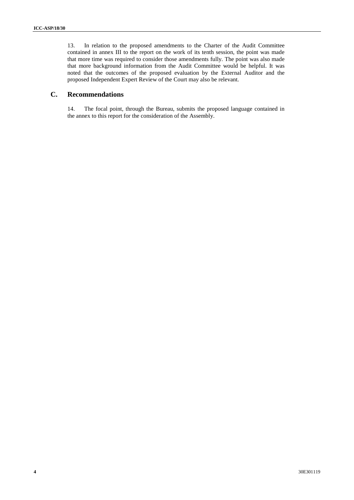13. In relation to the proposed amendments to the Charter of the Audit Committee contained in annex III to the report on the work of its tenth session, the point was made that more time was required to consider those amendments fully. The point was also made that more background information from the Audit Committee would be helpful. It was noted that the outcomes of the proposed evaluation by the External Auditor and the proposed Independent Expert Review of the Court may also be relevant.

## **C. Recommendations**

14. The focal point, through the Bureau, submits the proposed language contained in the annex to this report for the consideration of the Assembly.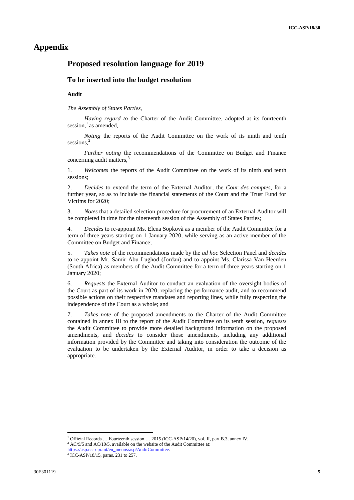# **Appendix**

# **Proposed resolution language for 2019**

### **To be inserted into the budget resolution**

### **Audit**

*The Assembly of States Parties,*

*Having regard to* the Charter of the Audit Committee, adopted at its fourteenth session,<sup>1</sup> as amended,

*Noting* the reports of the Audit Committee on the work of its ninth and tenth sessions.<sup>2</sup>

*Further noting* the recommendations of the Committee on Budget and Finance concerning audit matters.<sup>3</sup>

1. *Welcomes* the reports of the Audit Committee on the work of its ninth and tenth sessions;

2. *Decides* to extend the term of the External Auditor, the *Cour des comptes*, for a further year, so as to include the financial statements of the Court and the Trust Fund for Victims for 2020;

3. *Notes* that a detailed selection procedure for procurement of an External Auditor will be completed in time for the nineteenth session of the Assembly of States Parties;

4. *Decides* to re-appoint Ms. Elena Sopkovà as a member of the Audit Committee for a term of three years starting on 1 January 2020, while serving as an active member of the Committee on Budget and Finance;

5. *Takes note* of the recommendations made by the *ad hoc* Selection Panel and *decides* to re-appoint Mr. Samir Abu Lughod (Jordan) and to appoint Ms. Clarissa Van Heerden (South Africa) as members of the Audit Committee for a term of three years starting on 1 January 2020;

6. *Requests* the External Auditor to conduct an evaluation of the oversight bodies of the Court as part of its work in 2020, replacing the performance audit, and to recommend possible actions on their respective mandates and reporting lines, while fully respecting the independence of the Court as a whole; and

7. *Takes note* of the proposed amendments to the Charter of the Audit Committee contained in annex III to the report of the Audit Committee on its tenth session, *requests* the Audit Committee to provide more detailed background information on the proposed amendments, and *decides* to consider those amendments, including any additional information provided by the Committee and taking into consideration the outcome of the evaluation to be undertaken by the External Auditor, in order to take a decision as appropriate.

<sup>&</sup>lt;sup>1</sup> Official Records … Fourteenth session … 2015 (ICC-ASP/14/20), vol. II, part B.3, annex IV.

 $2$  AC/9/5 and AC/10/5, available on the website of the Audit Committee at:

[https://asp.icc-cpi.int/en\\_menus/asp/AuditCommittee.](https://asp.icc-cpi.int/en_menus/asp/AuditCommittee)<br><sup>3</sup> ICC-ASP/18/15, paras. 231 to 257.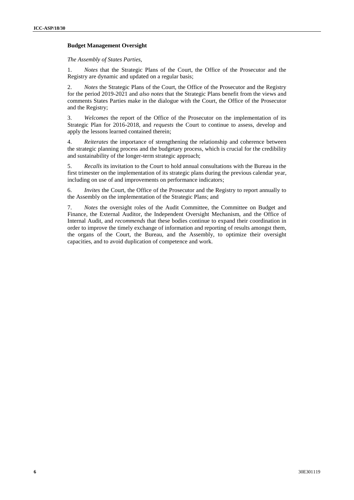#### **Budget Management Oversight**

#### *The Assembly of States Parties,*

1. *Notes* that the Strategic Plans of the Court, the Office of the Prosecutor and the Registry are dynamic and updated on a regular basis;

2. *Notes* the Strategic Plans of the Court, the Office of the Prosecutor and the Registry for the period 2019-2021 and *also notes* that the Strategic Plans benefit from the views and comments States Parties make in the dialogue with the Court, the Office of the Prosecutor and the Registry;

3. *Welcomes* the report of the Office of the Prosecutor on the implementation of its Strategic Plan for 2016-2018, and *requests* the Court to continue to assess, develop and apply the lessons learned contained therein;

4. *Reiterates* the importance of strengthening the relationship and coherence between the strategic planning process and the budgetary process, which is crucial for the credibility and sustainability of the longer-term strategic approach;

5. *Recalls* its invitation to the Court to hold annual consultations with the Bureau in the first trimester on the implementation of its strategic plans during the previous calendar year, including on use of and improvements on performance indicators;

6. *Invites* the Court, the Office of the Prosecutor and the Registry to report annually to the Assembly on the implementation of the Strategic Plans; and

7. *Notes* the oversight roles of the Audit Committee, the Committee on Budget and Finance, the External Auditor, the Independent Oversight Mechanism, and the Office of Internal Audit, and *recommends* that these bodies continue to expand their coordination in order to improve the timely exchange of information and reporting of results amongst them, the organs of the Court, the Bureau, and the Assembly, to optimize their oversight capacities, and to avoid duplication of competence and work.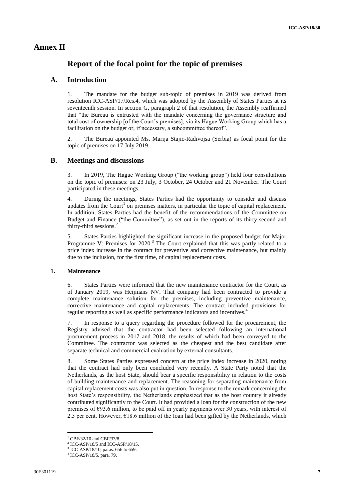# **Annex II**

# **Report of the focal point for the topic of premises**

### **A. Introduction**

1. The mandate for the budget sub-topic of premises in 2019 was derived from resolution ICC-ASP/17/Res.4, which was adopted by the Assembly of States Parties at its seventeenth session. In section G, paragraph 2 of that resolution, the Assembly reaffirmed that "the Bureau is entrusted with the mandate concerning the governance structure and total cost of ownership [of the Court's premises], via its Hague Working Group which has a facilitation on the budget or, if necessary, a subcommittee thereof".

2. The Bureau appointed Ms. Marija Stajic-Radivojsa (Serbia) as focal point for the topic of premises on 17 July 2019.

### **B. Meetings and discussions**

3. In 2019, The Hague Working Group ("the working group") held four consultations on the topic of premises: on 23 July, 3 October, 24 October and 21 November. The Court participated in these meetings.

4. During the meetings, States Parties had the opportunity to consider and discuss updates from the Court<sup>1</sup> on premises matters, in particular the topic of capital replacement. In addition, States Parties had the benefit of the recommendations of the Committee on Budget and Finance ("the Committee"), as set out in the reports of its thirty-second and thirty-third sessions.<sup>2</sup>

5. States Parties highlighted the significant increase in the proposed budget for Major Programme V: Premises for 2020.<sup>3</sup> The Court explained that this was partly related to a price index increase in the contract for preventive and corrective maintenance, but mainly due to the inclusion, for the first time, of capital replacement costs.

#### **1. Maintenance**

6. States Parties were informed that the new maintenance contractor for the Court, as of January 2019, was Heijmans NV. That company had been contracted to provide a complete maintenance solution for the premises, including preventive maintenance, corrective maintenance and capital replacements. The contract included provisions for regular reporting as well as specific performance indicators and incentives.<sup>4</sup>

7. In response to a query regarding the procedure followed for the procurement, the Registry advised that the contractor had been selected following an international procurement process in 2017 and 2018, the results of which had been conveyed to the Committee. The contractor was selected as the cheapest and the best candidate after separate technical and commercial evaluation by external consultants.

8. Some States Parties expressed concern at the price index increase in 2020, noting that the contract had only been concluded very recently. A State Party noted that the Netherlands, as the host State, should bear a specific responsibility in relation to the costs of building maintenance and replacement. The reasoning for separating maintenance from capital replacement costs was also put in question. In response to the remark concerning the host State's responsibility, the Netherlands emphasized that as the host country it already contributed significantly to the Court. It had provided a loan for the construction of the new premises of  $\epsilon$ 93.6 million, to be paid off in yearly payments over 30 years, with interest of 2.5 per cent. However, €18.6 million of the loan had been gifted by the Netherlands, which

 $1$  CBF/32/10 and CBF/33/8.

<sup>2</sup> ICC-ASP/18/5 and ICC-ASP/18/15.

<sup>&</sup>lt;sup>3</sup> ICC-ASP/18/10, paras. 656 to 659.

<sup>4</sup> ICC-ASP/18/5, para. 79.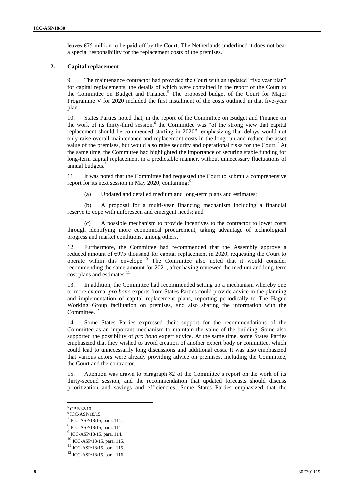leaves €75 million to be paid off by the Court. The Netherlands underlined it does not bear a special responsibility for the replacement costs of the premises.

### **2. Capital replacement**

9. The maintenance contractor had provided the Court with an updated "five year plan" for capital replacements, the details of which were contained in the report of the Court to the Committee on Budget and Finance.<sup>5</sup> The proposed budget of the Court for Major Programme V for 2020 included the first instalment of the costs outlined in that five-year plan.

10. States Parties noted that, in the report of the Committee on Budget and Finance on the work of its thirty-third session,<sup>6</sup> the Committee was "of the strong view that capital replacement should be commenced starting in 2020", emphasizing that delays would not only raise overall maintenance and replacement costs in the long run and reduce the asset value of the premises, but would also raise security and operational risks for the Court.<sup>7</sup> At the same time, the Committee had highlighted the importance of securing stable funding for long-term capital replacement in a predictable manner, without unnecessary fluctuations of annual budgets.<sup>8</sup>

11. It was noted that the Committee had requested the Court to submit a comprehensive report for its next session in May 2020, containing:<sup>9</sup>

(a) Updated and detailed medium and long-term plans and estimates;

(b) A proposal for a multi-year financing mechanism including a financial reserve to cope with unforeseen and emergent needs; and

(c) A possible mechanism to provide incentives to the contractor to lower costs through identifying more economical procurement, taking advantage of technological progress and market conditions, among others.

12. Furthermore, the Committee had recommended that the Assembly approve a reduced amount of  $\epsilon$ 975 thousand for capital replacement in 2020, requesting the Court to operate within this envelope.<sup>10</sup> The Committee also noted that it would consider recommending the same amount for 2021, after having reviewed the medium and long-term cost plans and estimates.<sup>11</sup>

13. In addition, the Committee had recommended setting up a mechanism whereby one or more external *pro bono* experts from States Parties could provide advice in the planning and implementation of capital replacement plans, reporting periodically to The Hague Working Group facilitation on premises, and also sharing the information with the Committee.<sup>12</sup>

14. Some States Parties expressed their support for the recommendations of the Committee as an important mechanism to maintain the value of the building. Some also supported the possibility of *pro bono* expert advice. At the same time, some States Parties emphasized that they wished to avoid creation of another expert body or committee, which could lead to unnecessarily long discussions and additional costs. It was also emphasized that various actors were already providing advice on premises, including the Committee, the Court and the contractor.

15. Attention was drawn to paragraph 82 of the Committee's report on the work of its thirty-second session, and the recommendation that updated forecasts should discuss prioritization and savings and efficiencies. Some States Parties emphasized that the

<sup>5</sup> CBF/32/10.

<sup>6</sup> ICC-ASP/18/15.

<sup>7</sup> ICC-ASP/18/15, para. 111.

<sup>8</sup> ICC-ASP/18/15, para. 111.

<sup>9</sup> ICC-ASP/18/15, para. 114.

<sup>10</sup> ICC-ASP/18/15, para. 115.

<sup>11</sup> ICC-ASP/18/15, para. 115.

<sup>12</sup> ICC-ASP/18/15, para. 116.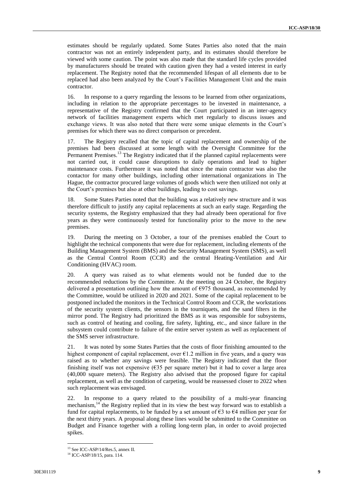estimates should be regularly updated. Some States Parties also noted that the main contractor was not an entirely independent party, and its estimates should therefore be viewed with some caution. The point was also made that the standard life cycles provided by manufacturers should be treated with caution given they had a vested interest in early replacement. The Registry noted that the recommended lifespan of all elements due to be replaced had also been analyzed by the Court's Facilities Management Unit and the main contractor.

16. In response to a query regarding the lessons to be learned from other organizations, including in relation to the appropriate percentages to be invested in maintenance, a representative of the Registry confirmed that the Court participated in an inter-agency network of facilities management experts which met regularly to discuss issues and exchange views. It was also noted that there were some unique elements in the Court's premises for which there was no direct comparison or precedent.

17. The Registry recalled that the topic of capital replacement and ownership of the premises had been discussed at some length with the Oversight Committee for the Permanent Premises.<sup>13</sup> The Registry indicated that if the planned capital replacements were not carried out, it could cause disruptions to daily operations and lead to higher maintenance costs. Furthermore it was noted that since the main contractor was also the contactor for many other buildings, including other international organizations in The Hague, the contractor procured large volumes of goods which were then utilized not only at the Court's premises but also at other buildings, leading to cost savings.

18. Some States Parties noted that the building was a relatively new structure and it was therefore difficult to justify any capital replacements at such an early stage. Regarding the security systems, the Registry emphasized that they had already been operational for five years as they were continuously tested for functionality prior to the move to the new premises.

19. During the meeting on 3 October, a tour of the premises enabled the Court to highlight the technical components that were due for replacement, including elements of the Building Management System (BMS) and the Security Management System (SMS), as well as the Central Control Room (CCR) and the central Heating-Ventilation and Air Conditioning (HVAC) room.

20. A query was raised as to what elements would not be funded due to the recommended reductions by the Committee. At the meeting on 24 October, the Registry delivered a presentation outlining how the amount of  $\epsilon$ 975 thousand, as recommended by the Committee, would be utilized in 2020 and 2021. Some of the capital replacement to be postponed included the monitors in the Technical Control Room and CCR, the workstations of the security system clients, the sensors in the tourniquets, and the sand filters in the mirror pond. The Registry had prioritized the BMS as it was responsible for subsystems, such as control of heating and cooling, fire safety, lighting, etc., and since failure in the subsystem could contribute to failure of the entire server system as well as replacement of the SMS server infrastructure.

21. It was noted by some States Parties that the costs of floor finishing amounted to the highest component of capital replacement, over €1.2 million in five years, and a query was raised as to whether any savings were feasible. The Registry indicated that the floor finishing itself was not expensive  $(635 \text{ per square meter})$  but it had to cover a large area (40,000 square meters). The Registry also advised that the proposed figure for capital replacement, as well as the condition of carpeting, would be reassessed closer to 2022 when such replacement was envisaged.

In response to a query related to the possibility of a multi-year financing mechanism,  $14$  the Registry replied that in its view the best way forward was to establish a fund for capital replacements, to be funded by a set amount of  $\epsilon$ 3 to  $\epsilon$ 4 million per year for the next thirty years. A proposal along these lines would be submitted to the Committee on Budget and Finance together with a rolling long-term plan, in order to avoid projected spikes.

<sup>13</sup> See ICC-ASP/14/Res.5, annex II.

<sup>14</sup> ICC-ASP/18/15, para. 114.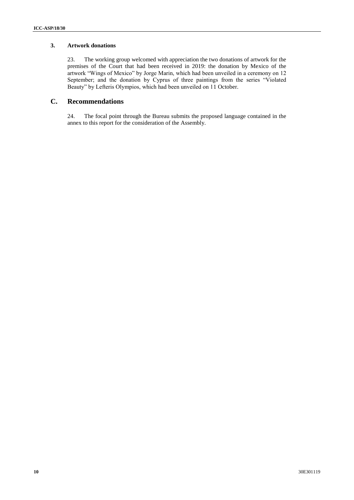### **3. Artwork donations**

23. The working group welcomed with appreciation the two donations of artwork for the premises of the Court that had been received in 2019: the donation by Mexico of the artwork "Wings of Mexico" by Jorge Marin, which had been unveiled in a ceremony on 12 September; and the donation by Cyprus of three paintings from the series "Violated Beauty" by Lefteris Olympios, which had been unveiled on 11 October.

### **C. Recommendations**

24. The focal point through the Bureau submits the proposed language contained in the annex to this report for the consideration of the Assembly.